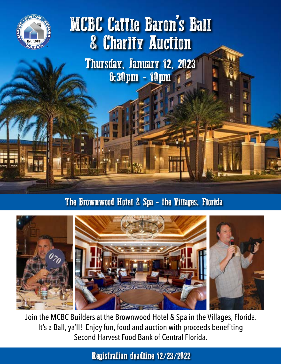

## MCBC Cattle Baron's Ball & Charity Auction

Thursday, January 12, 2023 6:30pm - 10pm

The Brownwood Hotel & Spa - the Villages, Florida



Join the MCBC Builders at the Brownwood Hotel & Spa in the Villages, Florida. It's a Ball, ya'll! Enjoy fun, food and auction with proceeds benefiting Second Harvest Food Bank of Central Florida.

Registration deadline 12/23/2022